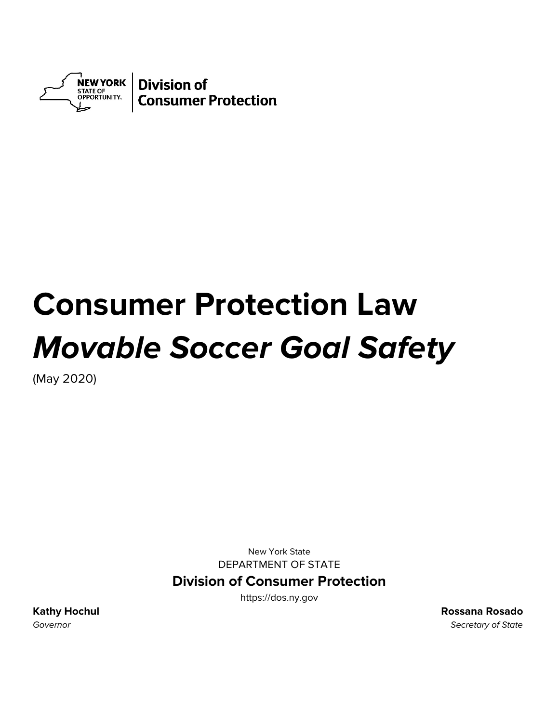

# **Consumer Protection Law Movable Soccer Goal Safety**

(May 2020)

New York State DEPARTMENT OF STATE

## **Division of Consumer Protection**

https://dos.ny.gov

**Kathy Hochul Rossana Rosado**  Governor Secretary of State Secretary of State Secretary of State Secretary of State Secretary of State Secretary of State Secretary of State Secretary of State Secretary of State Secretary of State Secretary of State Secr